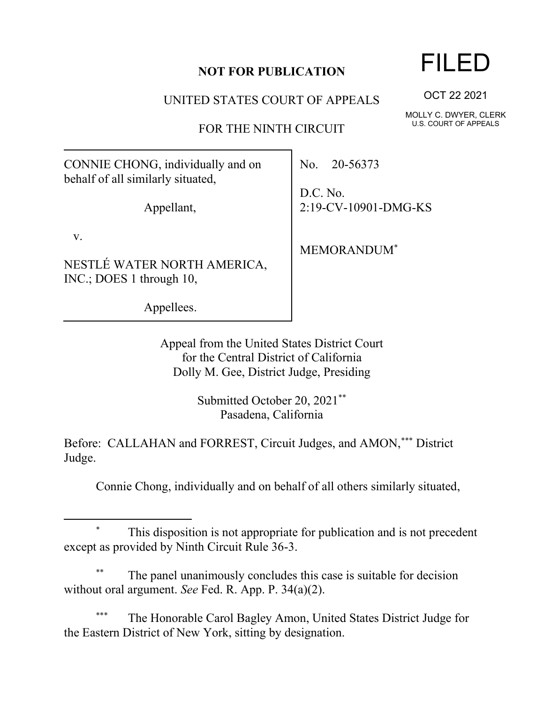## **NOT FOR PUBLICATION**

UNITED STATES COURT OF APPEALS

FOR THE NINTH CIRCUIT

CONNIE CHONG, individually and on behalf of all similarly situated,

Appellant,

v.

NESTLÉ WATER NORTH AMERICA, INC.; DOES 1 through 10,

Appellees.

No. 20-56373

D.C. No. 2:19-CV-10901-DMG-KS

MEMORANDUM\*

Appeal from the United States District Court for the Central District of California Dolly M. Gee, District Judge, Presiding

> Submitted October 20, 2021\*\* Pasadena, California

Before: CALLAHAN and FORREST, Circuit Judges, and AMON,\*\*\* District Judge.

Connie Chong, individually and on behalf of all others similarly situated,

This disposition is not appropriate for publication and is not precedent except as provided by Ninth Circuit Rule 36-3.

The panel unanimously concludes this case is suitable for decision without oral argument. *See* Fed. R. App. P. 34(a)(2).

The Honorable Carol Bagley Amon, United States District Judge for the Eastern District of New York, sitting by designation.

## FILED

OCT 22 2021

MOLLY C. DWYER, CLERK U.S. COURT OF APPEALS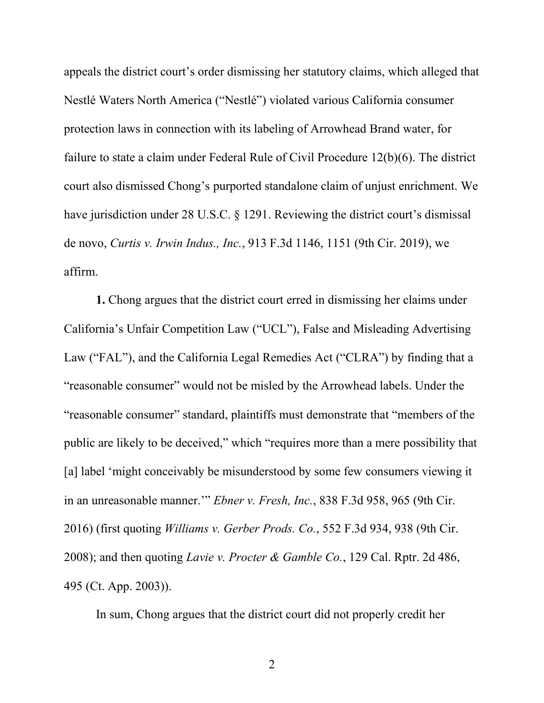appeals the district court's order dismissing her statutory claims, which alleged that Nestlé Waters North America ("Nestlé") violated various California consumer protection laws in connection with its labeling of Arrowhead Brand water, for failure to state a claim under Federal Rule of Civil Procedure 12(b)(6). The district court also dismissed Chong's purported standalone claim of unjust enrichment. We have jurisdiction under 28 U.S.C. § 1291. Reviewing the district court's dismissal de novo, *Curtis v. Irwin Indus., Inc.*, 913 F.3d 1146, 1151 (9th Cir. 2019), we affirm.

**1.** Chong argues that the district court erred in dismissing her claims under California's Unfair Competition Law ("UCL"), False and Misleading Advertising Law ("FAL"), and the California Legal Remedies Act ("CLRA") by finding that a "reasonable consumer" would not be misled by the Arrowhead labels. Under the "reasonable consumer" standard, plaintiffs must demonstrate that "members of the public are likely to be deceived," which "requires more than a mere possibility that [a] label 'might conceivably be misunderstood by some few consumers viewing it in an unreasonable manner.'" *Ebner v. Fresh, Inc.*, 838 F.3d 958, 965 (9th Cir. 2016) (first quoting *Williams v. Gerber Prods. Co.*, 552 F.3d 934, 938 (9th Cir. 2008); and then quoting *Lavie v. Procter & Gamble Co.*, 129 Cal. Rptr. 2d 486, 495 (Ct. App. 2003)).

In sum, Chong argues that the district court did not properly credit her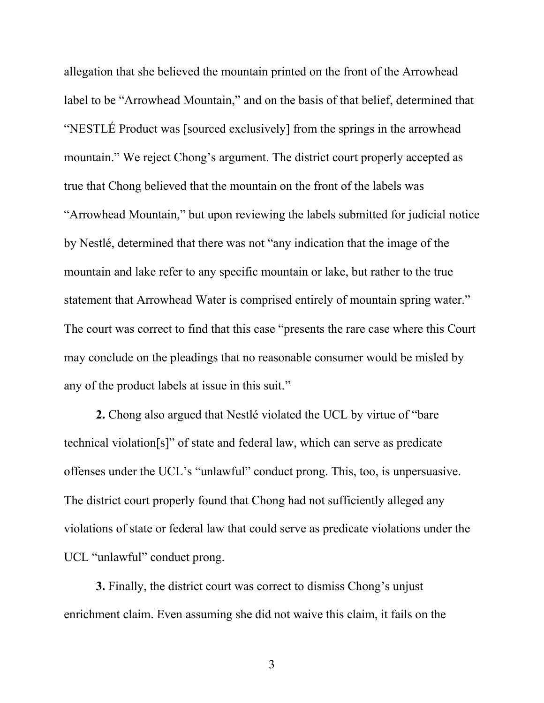allegation that she believed the mountain printed on the front of the Arrowhead label to be "Arrowhead Mountain," and on the basis of that belief, determined that "NESTLÉ Product was [sourced exclusively] from the springs in the arrowhead mountain." We reject Chong's argument. The district court properly accepted as true that Chong believed that the mountain on the front of the labels was "Arrowhead Mountain," but upon reviewing the labels submitted for judicial notice by Nestlé, determined that there was not "any indication that the image of the mountain and lake refer to any specific mountain or lake, but rather to the true statement that Arrowhead Water is comprised entirely of mountain spring water." The court was correct to find that this case "presents the rare case where this Court may conclude on the pleadings that no reasonable consumer would be misled by any of the product labels at issue in this suit."

**2.** Chong also argued that Nestlé violated the UCL by virtue of "bare technical violation[s]" of state and federal law, which can serve as predicate offenses under the UCL's "unlawful" conduct prong. This, too, is unpersuasive. The district court properly found that Chong had not sufficiently alleged any violations of state or federal law that could serve as predicate violations under the UCL "unlawful" conduct prong.

**3.** Finally, the district court was correct to dismiss Chong's unjust enrichment claim. Even assuming she did not waive this claim, it fails on the

3